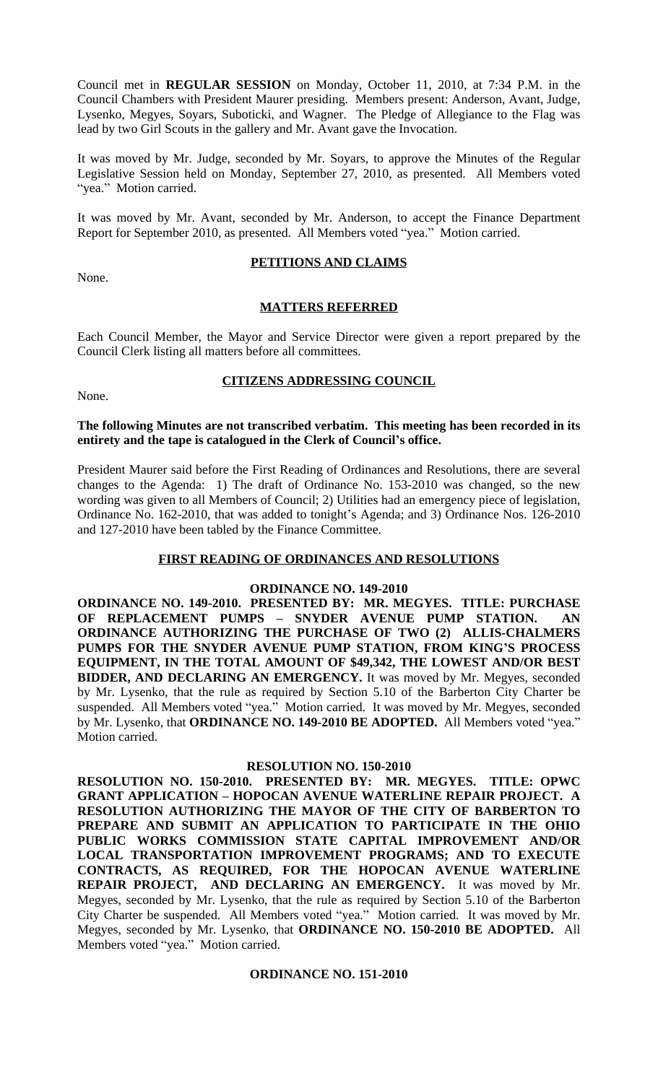Council met in **REGULAR SESSION** on Monday, October 11, 2010, at 7:34 P.M. in the Council Chambers with President Maurer presiding. Members present: Anderson, Avant, Judge, Lysenko, Megyes, Soyars, Suboticki, and Wagner. The Pledge of Allegiance to the Flag was lead by two Girl Scouts in the gallery and Mr. Avant gave the Invocation.

It was moved by Mr. Judge, seconded by Mr. Soyars, to approve the Minutes of the Regular Legislative Session held on Monday, September 27, 2010, as presented. All Members voted "yea." Motion carried.

It was moved by Mr. Avant, seconded by Mr. Anderson, to accept the Finance Department Report for September 2010, as presented. All Members voted "yea." Motion carried.

None.

## **PETITIONS AND CLAIMS**

## **MATTERS REFERRED**

Each Council Member, the Mayor and Service Director were given a report prepared by the Council Clerk listing all matters before all committees.

## **CITIZENS ADDRESSING COUNCIL**

None.

## **The following Minutes are not transcribed verbatim. This meeting has been recorded in its entirety and the tape is catalogued in the Clerk of Council's office.**

President Maurer said before the First Reading of Ordinances and Resolutions, there are several changes to the Agenda: 1) The draft of Ordinance No. 153-2010 was changed, so the new wording was given to all Members of Council; 2) Utilities had an emergency piece of legislation, Ordinance No. 162-2010, that was added to tonight's Agenda; and 3) Ordinance Nos. 126-2010 and 127-2010 have been tabled by the Finance Committee.

## **FIRST READING OF ORDINANCES AND RESOLUTIONS**

## **ORDINANCE NO. 149-2010**

**ORDINANCE NO. 149-2010. PRESENTED BY: MR. MEGYES. TITLE: PURCHASE OF REPLACEMENT PUMPS – SNYDER AVENUE PUMP STATION. AN ORDINANCE AUTHORIZING THE PURCHASE OF TWO (2) ALLIS-CHALMERS PUMPS FOR THE SNYDER AVENUE PUMP STATION, FROM KING'S PROCESS EQUIPMENT, IN THE TOTAL AMOUNT OF \$49,342, THE LOWEST AND/OR BEST BIDDER, AND DECLARING AN EMERGENCY.** It was moved by Mr. Megyes, seconded by Mr. Lysenko, that the rule as required by Section 5.10 of the Barberton City Charter be suspended. All Members voted "yea." Motion carried. It was moved by Mr. Megyes, seconded by Mr. Lysenko, that **ORDINANCE NO. 149-2010 BE ADOPTED.** All Members voted "yea." Motion carried.

### **RESOLUTION NO. 150-2010**

**RESOLUTION NO. 150-2010. PRESENTED BY: MR. MEGYES. TITLE: OPWC GRANT APPLICATION – HOPOCAN AVENUE WATERLINE REPAIR PROJECT. A RESOLUTION AUTHORIZING THE MAYOR OF THE CITY OF BARBERTON TO PREPARE AND SUBMIT AN APPLICATION TO PARTICIPATE IN THE OHIO PUBLIC WORKS COMMISSION STATE CAPITAL IMPROVEMENT AND/OR LOCAL TRANSPORTATION IMPROVEMENT PROGRAMS; AND TO EXECUTE CONTRACTS, AS REQUIRED, FOR THE HOPOCAN AVENUE WATERLINE REPAIR PROJECT, AND DECLARING AN EMERGENCY.** It was moved by Mr. Megyes, seconded by Mr. Lysenko, that the rule as required by Section 5.10 of the Barberton City Charter be suspended. All Members voted "yea." Motion carried. It was moved by Mr. Megyes, seconded by Mr. Lysenko, that **ORDINANCE NO. 150-2010 BE ADOPTED.** All Members voted "yea." Motion carried.

## **ORDINANCE NO. 151-2010**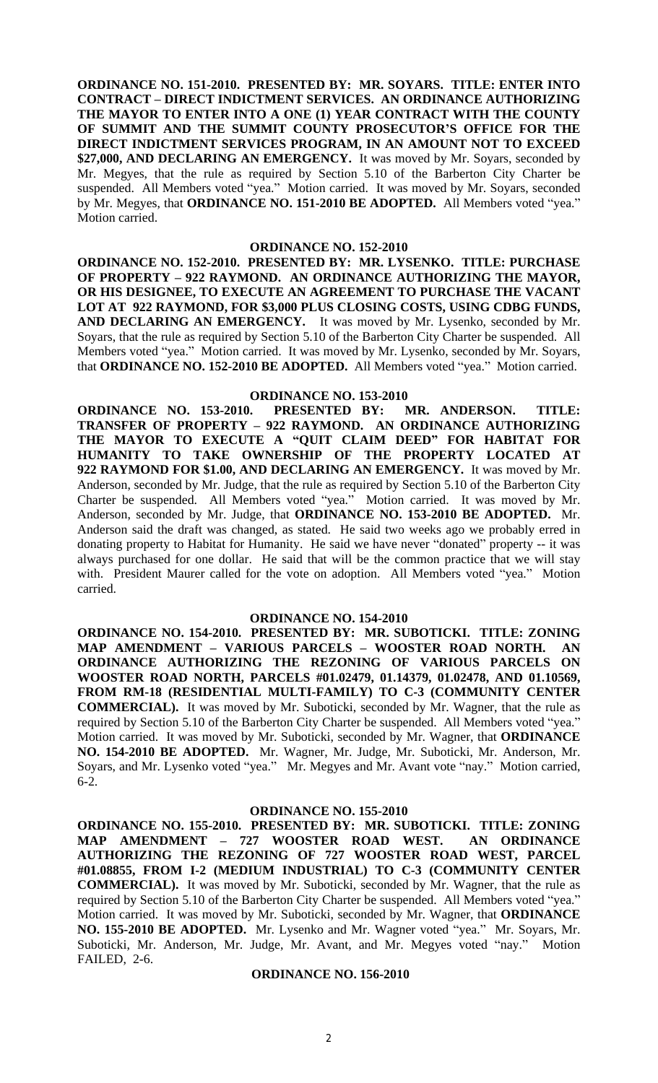**ORDINANCE NO. 151-2010. PRESENTED BY: MR. SOYARS. TITLE: ENTER INTO CONTRACT – DIRECT INDICTMENT SERVICES. AN ORDINANCE AUTHORIZING THE MAYOR TO ENTER INTO A ONE (1) YEAR CONTRACT WITH THE COUNTY OF SUMMIT AND THE SUMMIT COUNTY PROSECUTOR'S OFFICE FOR THE DIRECT INDICTMENT SERVICES PROGRAM, IN AN AMOUNT NOT TO EXCEED \$27,000, AND DECLARING AN EMERGENCY.** It was moved by Mr. Soyars, seconded by Mr. Megyes, that the rule as required by Section 5.10 of the Barberton City Charter be suspended. All Members voted "yea." Motion carried. It was moved by Mr. Soyars, seconded by Mr. Megyes, that **ORDINANCE NO. 151-2010 BE ADOPTED.** All Members voted "yea." Motion carried.

### **ORDINANCE NO. 152-2010**

**ORDINANCE NO. 152-2010. PRESENTED BY: MR. LYSENKO. TITLE: PURCHASE OF PROPERTY – 922 RAYMOND. AN ORDINANCE AUTHORIZING THE MAYOR, OR HIS DESIGNEE, TO EXECUTE AN AGREEMENT TO PURCHASE THE VACANT LOT AT 922 RAYMOND, FOR \$3,000 PLUS CLOSING COSTS, USING CDBG FUNDS, AND DECLARING AN EMERGENCY.** It was moved by Mr. Lysenko, seconded by Mr. Soyars, that the rule as required by Section 5.10 of the Barberton City Charter be suspended. All Members voted "yea." Motion carried. It was moved by Mr. Lysenko, seconded by Mr. Soyars, that **ORDINANCE NO. 152-2010 BE ADOPTED.** All Members voted "yea." Motion carried.

### **ORDINANCE NO. 153-2010**

**ORDINANCE NO. 153-2010. PRESENTED BY: MR. ANDERSON. TITLE: TRANSFER OF PROPERTY – 922 RAYMOND. AN ORDINANCE AUTHORIZING THE MAYOR TO EXECUTE A "QUIT CLAIM DEED" FOR HABITAT FOR HUMANITY TO TAKE OWNERSHIP OF THE PROPERTY LOCATED AT 922 RAYMOND FOR \$1.00, AND DECLARING AN EMERGENCY.** It was moved by Mr. Anderson, seconded by Mr. Judge, that the rule as required by Section 5.10 of the Barberton City Charter be suspended. All Members voted "yea." Motion carried. It was moved by Mr. Anderson, seconded by Mr. Judge, that **ORDINANCE NO. 153-2010 BE ADOPTED.** Mr. Anderson said the draft was changed, as stated. He said two weeks ago we probably erred in donating property to Habitat for Humanity. He said we have never "donated" property -- it was always purchased for one dollar. He said that will be the common practice that we will stay with. President Maurer called for the vote on adoption. All Members voted "yea." Motion carried.

### **ORDINANCE NO. 154-2010**

**ORDINANCE NO. 154-2010. PRESENTED BY: MR. SUBOTICKI. TITLE: ZONING MAP AMENDMENT – VARIOUS PARCELS – WOOSTER ROAD NORTH. AN ORDINANCE AUTHORIZING THE REZONING OF VARIOUS PARCELS ON WOOSTER ROAD NORTH, PARCELS #01.02479, 01.14379, 01.02478, AND 01.10569, FROM RM-18 (RESIDENTIAL MULTI-FAMILY) TO C-3 (COMMUNITY CENTER COMMERCIAL).** It was moved by Mr. Suboticki, seconded by Mr. Wagner, that the rule as required by Section 5.10 of the Barberton City Charter be suspended. All Members voted "yea." Motion carried. It was moved by Mr. Suboticki, seconded by Mr. Wagner, that **ORDINANCE NO. 154-2010 BE ADOPTED.** Mr. Wagner, Mr. Judge, Mr. Suboticki, Mr. Anderson, Mr. Soyars, and Mr. Lysenko voted "yea." Mr. Megyes and Mr. Avant vote "nay." Motion carried, 6-2.

### **ORDINANCE NO. 155-2010**

**ORDINANCE NO. 155-2010. PRESENTED BY: MR. SUBOTICKI. TITLE: ZONING MAP AMENDMENT – 727 WOOSTER ROAD WEST. AN ORDINANCE AUTHORIZING THE REZONING OF 727 WOOSTER ROAD WEST, PARCEL #01.08855, FROM I-2 (MEDIUM INDUSTRIAL) TO C-3 (COMMUNITY CENTER COMMERCIAL).** It was moved by Mr. Suboticki, seconded by Mr. Wagner, that the rule as required by Section 5.10 of the Barberton City Charter be suspended. All Members voted "yea." Motion carried. It was moved by Mr. Suboticki, seconded by Mr. Wagner, that **ORDINANCE NO. 155-2010 BE ADOPTED.** Mr. Lysenko and Mr. Wagner voted "yea." Mr. Soyars, Mr. Suboticki, Mr. Anderson, Mr. Judge, Mr. Avant, and Mr. Megyes voted "nay." Motion FAILED, 2-6.

## **ORDINANCE NO. 156-2010**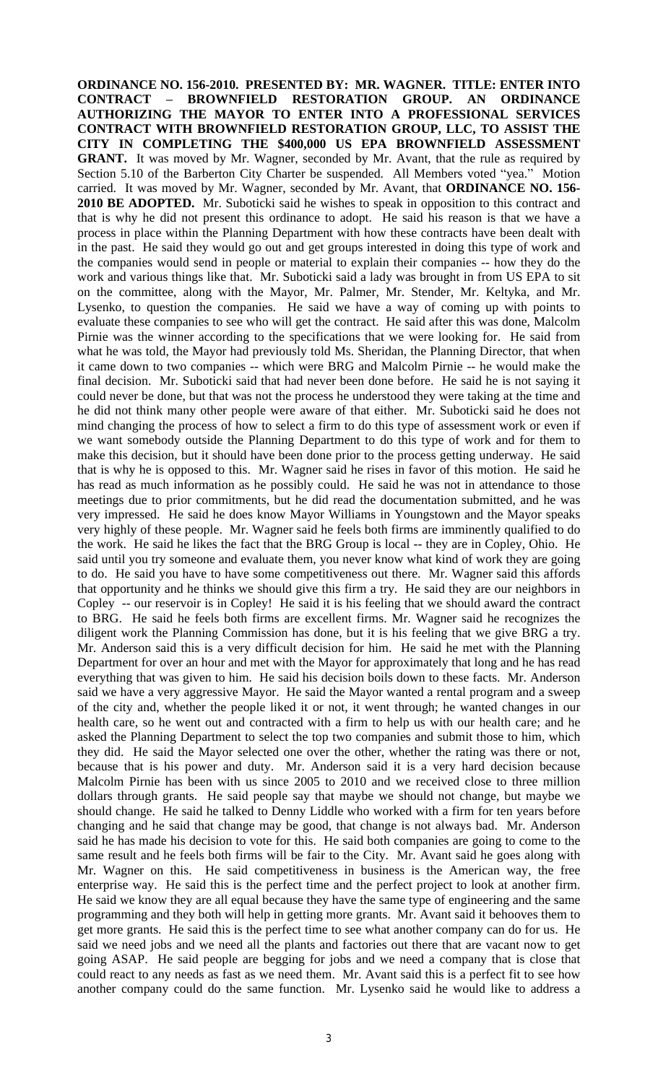**ORDINANCE NO. 156-2010. PRESENTED BY: MR. WAGNER. TITLE: ENTER INTO CONTRACT – BROWNFIELD RESTORATION GROUP. AN ORDINANCE AUTHORIZING THE MAYOR TO ENTER INTO A PROFESSIONAL SERVICES CONTRACT WITH BROWNFIELD RESTORATION GROUP, LLC, TO ASSIST THE CITY IN COMPLETING THE \$400,000 US EPA BROWNFIELD ASSESSMENT GRANT.** It was moved by Mr. Wagner, seconded by Mr. Avant, that the rule as required by Section 5.10 of the Barberton City Charter be suspended. All Members voted "yea." Motion carried. It was moved by Mr. Wagner, seconded by Mr. Avant, that **ORDINANCE NO. 156- 2010 BE ADOPTED.** Mr. Suboticki said he wishes to speak in opposition to this contract and that is why he did not present this ordinance to adopt. He said his reason is that we have a process in place within the Planning Department with how these contracts have been dealt with in the past. He said they would go out and get groups interested in doing this type of work and the companies would send in people or material to explain their companies -- how they do the work and various things like that. Mr. Suboticki said a lady was brought in from US EPA to sit on the committee, along with the Mayor, Mr. Palmer, Mr. Stender, Mr. Keltyka, and Mr. Lysenko, to question the companies. He said we have a way of coming up with points to evaluate these companies to see who will get the contract. He said after this was done, Malcolm Pirnie was the winner according to the specifications that we were looking for. He said from what he was told, the Mayor had previously told Ms. Sheridan, the Planning Director, that when it came down to two companies -- which were BRG and Malcolm Pirnie -- he would make the final decision. Mr. Suboticki said that had never been done before. He said he is not saying it could never be done, but that was not the process he understood they were taking at the time and he did not think many other people were aware of that either. Mr. Suboticki said he does not mind changing the process of how to select a firm to do this type of assessment work or even if we want somebody outside the Planning Department to do this type of work and for them to make this decision, but it should have been done prior to the process getting underway. He said that is why he is opposed to this. Mr. Wagner said he rises in favor of this motion. He said he has read as much information as he possibly could. He said he was not in attendance to those meetings due to prior commitments, but he did read the documentation submitted, and he was very impressed. He said he does know Mayor Williams in Youngstown and the Mayor speaks very highly of these people. Mr. Wagner said he feels both firms are imminently qualified to do the work. He said he likes the fact that the BRG Group is local -- they are in Copley, Ohio. He said until you try someone and evaluate them, you never know what kind of work they are going to do. He said you have to have some competitiveness out there. Mr. Wagner said this affords that opportunity and he thinks we should give this firm a try. He said they are our neighbors in Copley -- our reservoir is in Copley! He said it is his feeling that we should award the contract to BRG. He said he feels both firms are excellent firms. Mr. Wagner said he recognizes the diligent work the Planning Commission has done, but it is his feeling that we give BRG a try. Mr. Anderson said this is a very difficult decision for him. He said he met with the Planning Department for over an hour and met with the Mayor for approximately that long and he has read everything that was given to him. He said his decision boils down to these facts. Mr. Anderson said we have a very aggressive Mayor. He said the Mayor wanted a rental program and a sweep of the city and, whether the people liked it or not, it went through; he wanted changes in our health care, so he went out and contracted with a firm to help us with our health care; and he asked the Planning Department to select the top two companies and submit those to him, which they did. He said the Mayor selected one over the other, whether the rating was there or not, because that is his power and duty. Mr. Anderson said it is a very hard decision because Malcolm Pirnie has been with us since 2005 to 2010 and we received close to three million dollars through grants. He said people say that maybe we should not change, but maybe we should change. He said he talked to Denny Liddle who worked with a firm for ten years before changing and he said that change may be good, that change is not always bad. Mr. Anderson said he has made his decision to vote for this. He said both companies are going to come to the same result and he feels both firms will be fair to the City. Mr. Avant said he goes along with Mr. Wagner on this. He said competitiveness in business is the American way, the free enterprise way. He said this is the perfect time and the perfect project to look at another firm. He said we know they are all equal because they have the same type of engineering and the same programming and they both will help in getting more grants. Mr. Avant said it behooves them to get more grants. He said this is the perfect time to see what another company can do for us. He said we need jobs and we need all the plants and factories out there that are vacant now to get going ASAP. He said people are begging for jobs and we need a company that is close that could react to any needs as fast as we need them. Mr. Avant said this is a perfect fit to see how another company could do the same function. Mr. Lysenko said he would like to address a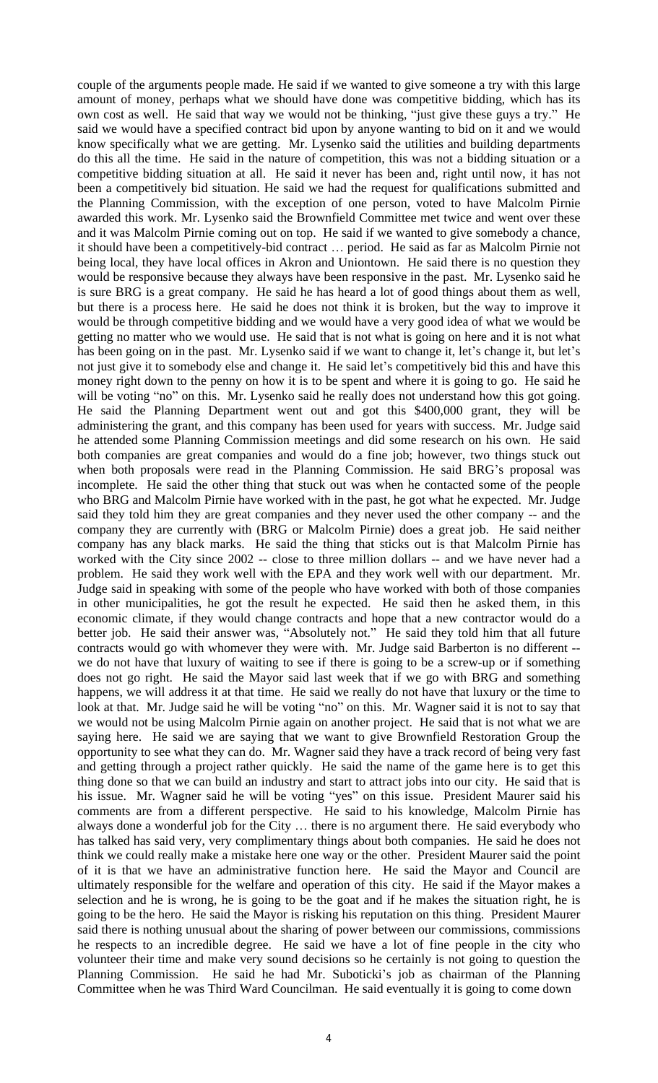couple of the arguments people made. He said if we wanted to give someone a try with this large amount of money, perhaps what we should have done was competitive bidding, which has its own cost as well. He said that way we would not be thinking, "just give these guys a try." He said we would have a specified contract bid upon by anyone wanting to bid on it and we would know specifically what we are getting. Mr. Lysenko said the utilities and building departments do this all the time. He said in the nature of competition, this was not a bidding situation or a competitive bidding situation at all. He said it never has been and, right until now, it has not been a competitively bid situation. He said we had the request for qualifications submitted and the Planning Commission, with the exception of one person, voted to have Malcolm Pirnie awarded this work. Mr. Lysenko said the Brownfield Committee met twice and went over these and it was Malcolm Pirnie coming out on top. He said if we wanted to give somebody a chance, it should have been a competitively-bid contract … period. He said as far as Malcolm Pirnie not being local, they have local offices in Akron and Uniontown. He said there is no question they would be responsive because they always have been responsive in the past. Mr. Lysenko said he is sure BRG is a great company. He said he has heard a lot of good things about them as well, but there is a process here. He said he does not think it is broken, but the way to improve it would be through competitive bidding and we would have a very good idea of what we would be getting no matter who we would use. He said that is not what is going on here and it is not what has been going on in the past. Mr. Lysenko said if we want to change it, let's change it, but let's not just give it to somebody else and change it. He said let's competitively bid this and have this money right down to the penny on how it is to be spent and where it is going to go. He said he will be voting "no" on this. Mr. Lysenko said he really does not understand how this got going. He said the Planning Department went out and got this \$400,000 grant, they will be administering the grant, and this company has been used for years with success. Mr. Judge said he attended some Planning Commission meetings and did some research on his own. He said both companies are great companies and would do a fine job; however, two things stuck out when both proposals were read in the Planning Commission. He said BRG's proposal was incomplete. He said the other thing that stuck out was when he contacted some of the people who BRG and Malcolm Pirnie have worked with in the past, he got what he expected. Mr. Judge said they told him they are great companies and they never used the other company -- and the company they are currently with (BRG or Malcolm Pirnie) does a great job. He said neither company has any black marks. He said the thing that sticks out is that Malcolm Pirnie has worked with the City since 2002 -- close to three million dollars -- and we have never had a problem. He said they work well with the EPA and they work well with our department. Mr. Judge said in speaking with some of the people who have worked with both of those companies in other municipalities, he got the result he expected. He said then he asked them, in this economic climate, if they would change contracts and hope that a new contractor would do a better job. He said their answer was, "Absolutely not." He said they told him that all future contracts would go with whomever they were with. Mr. Judge said Barberton is no different - we do not have that luxury of waiting to see if there is going to be a screw-up or if something does not go right. He said the Mayor said last week that if we go with BRG and something happens, we will address it at that time. He said we really do not have that luxury or the time to look at that. Mr. Judge said he will be voting "no" on this. Mr. Wagner said it is not to say that we would not be using Malcolm Pirnie again on another project. He said that is not what we are saying here. He said we are saying that we want to give Brownfield Restoration Group the opportunity to see what they can do. Mr. Wagner said they have a track record of being very fast and getting through a project rather quickly. He said the name of the game here is to get this thing done so that we can build an industry and start to attract jobs into our city. He said that is his issue. Mr. Wagner said he will be voting "yes" on this issue. President Maurer said his comments are from a different perspective. He said to his knowledge, Malcolm Pirnie has always done a wonderful job for the City … there is no argument there. He said everybody who has talked has said very, very complimentary things about both companies. He said he does not think we could really make a mistake here one way or the other. President Maurer said the point of it is that we have an administrative function here. He said the Mayor and Council are ultimately responsible for the welfare and operation of this city. He said if the Mayor makes a selection and he is wrong, he is going to be the goat and if he makes the situation right, he is going to be the hero. He said the Mayor is risking his reputation on this thing. President Maurer said there is nothing unusual about the sharing of power between our commissions, commissions he respects to an incredible degree. He said we have a lot of fine people in the city who volunteer their time and make very sound decisions so he certainly is not going to question the Planning Commission. He said he had Mr. Suboticki's job as chairman of the Planning Committee when he was Third Ward Councilman. He said eventually it is going to come down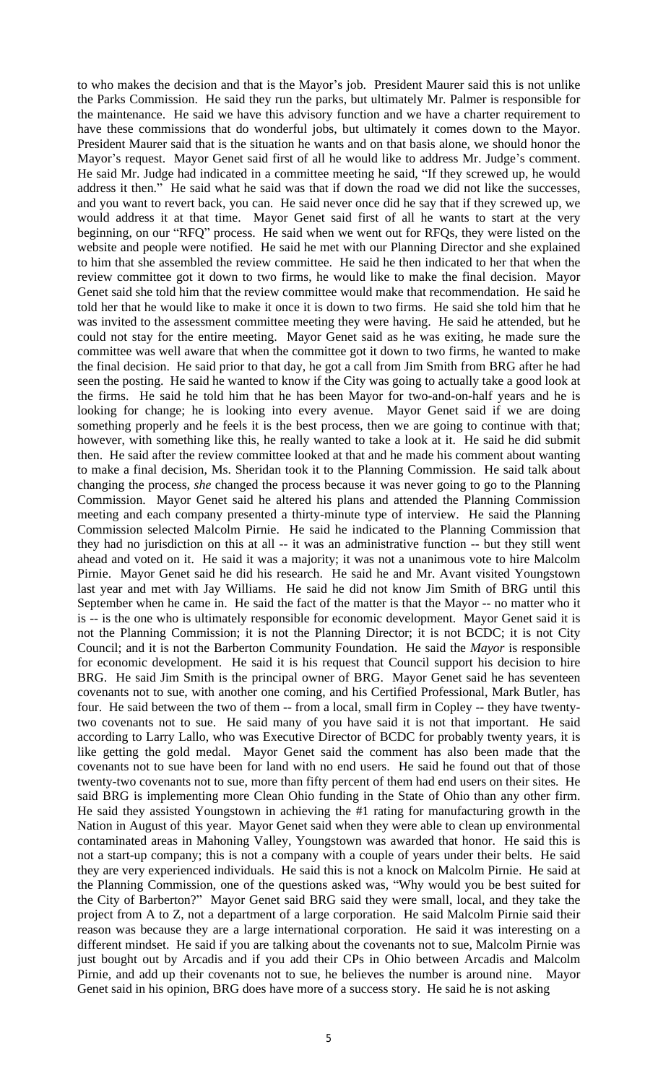to who makes the decision and that is the Mayor's job. President Maurer said this is not unlike the Parks Commission. He said they run the parks, but ultimately Mr. Palmer is responsible for the maintenance. He said we have this advisory function and we have a charter requirement to have these commissions that do wonderful jobs, but ultimately it comes down to the Mayor. President Maurer said that is the situation he wants and on that basis alone, we should honor the Mayor's request. Mayor Genet said first of all he would like to address Mr. Judge's comment. He said Mr. Judge had indicated in a committee meeting he said, "If they screwed up, he would address it then." He said what he said was that if down the road we did not like the successes, and you want to revert back, you can. He said never once did he say that if they screwed up, we would address it at that time. Mayor Genet said first of all he wants to start at the very beginning, on our "RFQ" process. He said when we went out for RFQs, they were listed on the website and people were notified. He said he met with our Planning Director and she explained to him that she assembled the review committee. He said he then indicated to her that when the review committee got it down to two firms, he would like to make the final decision. Mayor Genet said she told him that the review committee would make that recommendation. He said he told her that he would like to make it once it is down to two firms. He said she told him that he was invited to the assessment committee meeting they were having. He said he attended, but he could not stay for the entire meeting. Mayor Genet said as he was exiting, he made sure the committee was well aware that when the committee got it down to two firms, he wanted to make the final decision. He said prior to that day, he got a call from Jim Smith from BRG after he had seen the posting. He said he wanted to know if the City was going to actually take a good look at the firms. He said he told him that he has been Mayor for two-and-on-half years and he is looking for change; he is looking into every avenue. Mayor Genet said if we are doing something properly and he feels it is the best process, then we are going to continue with that; however, with something like this, he really wanted to take a look at it. He said he did submit then. He said after the review committee looked at that and he made his comment about wanting to make a final decision, Ms. Sheridan took it to the Planning Commission. He said talk about changing the process, *she* changed the process because it was never going to go to the Planning Commission. Mayor Genet said he altered his plans and attended the Planning Commission meeting and each company presented a thirty-minute type of interview. He said the Planning Commission selected Malcolm Pirnie. He said he indicated to the Planning Commission that they had no jurisdiction on this at all -- it was an administrative function -- but they still went ahead and voted on it. He said it was a majority; it was not a unanimous vote to hire Malcolm Pirnie. Mayor Genet said he did his research. He said he and Mr. Avant visited Youngstown last year and met with Jay Williams. He said he did not know Jim Smith of BRG until this September when he came in. He said the fact of the matter is that the Mayor -- no matter who it is -- is the one who is ultimately responsible for economic development. Mayor Genet said it is not the Planning Commission; it is not the Planning Director; it is not BCDC; it is not City Council; and it is not the Barberton Community Foundation. He said the *Mayor* is responsible for economic development. He said it is his request that Council support his decision to hire BRG. He said Jim Smith is the principal owner of BRG. Mayor Genet said he has seventeen covenants not to sue, with another one coming, and his Certified Professional, Mark Butler, has four. He said between the two of them -- from a local, small firm in Copley -- they have twentytwo covenants not to sue. He said many of you have said it is not that important. He said according to Larry Lallo, who was Executive Director of BCDC for probably twenty years, it is like getting the gold medal. Mayor Genet said the comment has also been made that the covenants not to sue have been for land with no end users. He said he found out that of those twenty-two covenants not to sue, more than fifty percent of them had end users on their sites. He said BRG is implementing more Clean Ohio funding in the State of Ohio than any other firm. He said they assisted Youngstown in achieving the #1 rating for manufacturing growth in the Nation in August of this year. Mayor Genet said when they were able to clean up environmental contaminated areas in Mahoning Valley, Youngstown was awarded that honor. He said this is not a start-up company; this is not a company with a couple of years under their belts. He said they are very experienced individuals. He said this is not a knock on Malcolm Pirnie. He said at the Planning Commission, one of the questions asked was, "Why would you be best suited for the City of Barberton?" Mayor Genet said BRG said they were small, local, and they take the project from A to Z, not a department of a large corporation. He said Malcolm Pirnie said their reason was because they are a large international corporation. He said it was interesting on a different mindset. He said if you are talking about the covenants not to sue, Malcolm Pirnie was just bought out by Arcadis and if you add their CPs in Ohio between Arcadis and Malcolm Pirnie, and add up their covenants not to sue, he believes the number is around nine. Mayor Genet said in his opinion, BRG does have more of a success story. He said he is not asking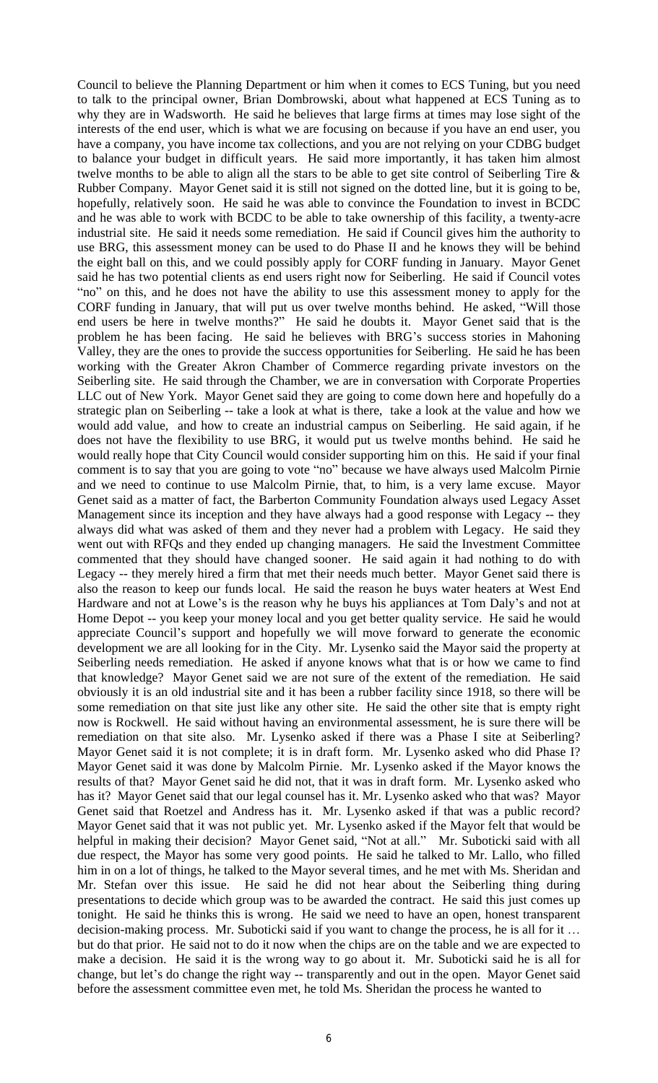Council to believe the Planning Department or him when it comes to ECS Tuning, but you need to talk to the principal owner, Brian Dombrowski, about what happened at ECS Tuning as to why they are in Wadsworth. He said he believes that large firms at times may lose sight of the interests of the end user, which is what we are focusing on because if you have an end user, you have a company, you have income tax collections, and you are not relying on your CDBG budget to balance your budget in difficult years. He said more importantly, it has taken him almost twelve months to be able to align all the stars to be able to get site control of Seiberling Tire & Rubber Company. Mayor Genet said it is still not signed on the dotted line, but it is going to be, hopefully, relatively soon. He said he was able to convince the Foundation to invest in BCDC and he was able to work with BCDC to be able to take ownership of this facility, a twenty-acre industrial site. He said it needs some remediation. He said if Council gives him the authority to use BRG, this assessment money can be used to do Phase II and he knows they will be behind the eight ball on this, and we could possibly apply for CORF funding in January. Mayor Genet said he has two potential clients as end users right now for Seiberling. He said if Council votes "no" on this, and he does not have the ability to use this assessment money to apply for the CORF funding in January, that will put us over twelve months behind. He asked, "Will those end users be here in twelve months?" He said he doubts it. Mayor Genet said that is the problem he has been facing. He said he believes with BRG's success stories in Mahoning Valley, they are the ones to provide the success opportunities for Seiberling. He said he has been working with the Greater Akron Chamber of Commerce regarding private investors on the Seiberling site. He said through the Chamber, we are in conversation with Corporate Properties LLC out of New York. Mayor Genet said they are going to come down here and hopefully do a strategic plan on Seiberling -- take a look at what is there, take a look at the value and how we would add value, and how to create an industrial campus on Seiberling. He said again, if he does not have the flexibility to use BRG, it would put us twelve months behind. He said he would really hope that City Council would consider supporting him on this. He said if your final comment is to say that you are going to vote "no" because we have always used Malcolm Pirnie and we need to continue to use Malcolm Pirnie, that, to him, is a very lame excuse. Mayor Genet said as a matter of fact, the Barberton Community Foundation always used Legacy Asset Management since its inception and they have always had a good response with Legacy -- they always did what was asked of them and they never had a problem with Legacy. He said they went out with RFQs and they ended up changing managers. He said the Investment Committee commented that they should have changed sooner. He said again it had nothing to do with Legacy -- they merely hired a firm that met their needs much better. Mayor Genet said there is also the reason to keep our funds local. He said the reason he buys water heaters at West End Hardware and not at Lowe's is the reason why he buys his appliances at Tom Daly's and not at Home Depot -- you keep your money local and you get better quality service. He said he would appreciate Council's support and hopefully we will move forward to generate the economic development we are all looking for in the City. Mr. Lysenko said the Mayor said the property at Seiberling needs remediation. He asked if anyone knows what that is or how we came to find that knowledge? Mayor Genet said we are not sure of the extent of the remediation. He said obviously it is an old industrial site and it has been a rubber facility since 1918, so there will be some remediation on that site just like any other site. He said the other site that is empty right now is Rockwell. He said without having an environmental assessment, he is sure there will be remediation on that site also. Mr. Lysenko asked if there was a Phase I site at Seiberling? Mayor Genet said it is not complete; it is in draft form. Mr. Lysenko asked who did Phase I? Mayor Genet said it was done by Malcolm Pirnie. Mr. Lysenko asked if the Mayor knows the results of that? Mayor Genet said he did not, that it was in draft form. Mr. Lysenko asked who has it? Mayor Genet said that our legal counsel has it. Mr. Lysenko asked who that was? Mayor Genet said that Roetzel and Andress has it. Mr. Lysenko asked if that was a public record? Mayor Genet said that it was not public yet. Mr. Lysenko asked if the Mayor felt that would be helpful in making their decision? Mayor Genet said, "Not at all." Mr. Suboticki said with all due respect, the Mayor has some very good points. He said he talked to Mr. Lallo, who filled him in on a lot of things, he talked to the Mayor several times, and he met with Ms. Sheridan and Mr. Stefan over this issue. He said he did not hear about the Seiberling thing during presentations to decide which group was to be awarded the contract. He said this just comes up tonight. He said he thinks this is wrong. He said we need to have an open, honest transparent decision-making process. Mr. Suboticki said if you want to change the process, he is all for it … but do that prior. He said not to do it now when the chips are on the table and we are expected to make a decision. He said it is the wrong way to go about it. Mr. Suboticki said he is all for change, but let's do change the right way -- transparently and out in the open. Mayor Genet said before the assessment committee even met, he told Ms. Sheridan the process he wanted to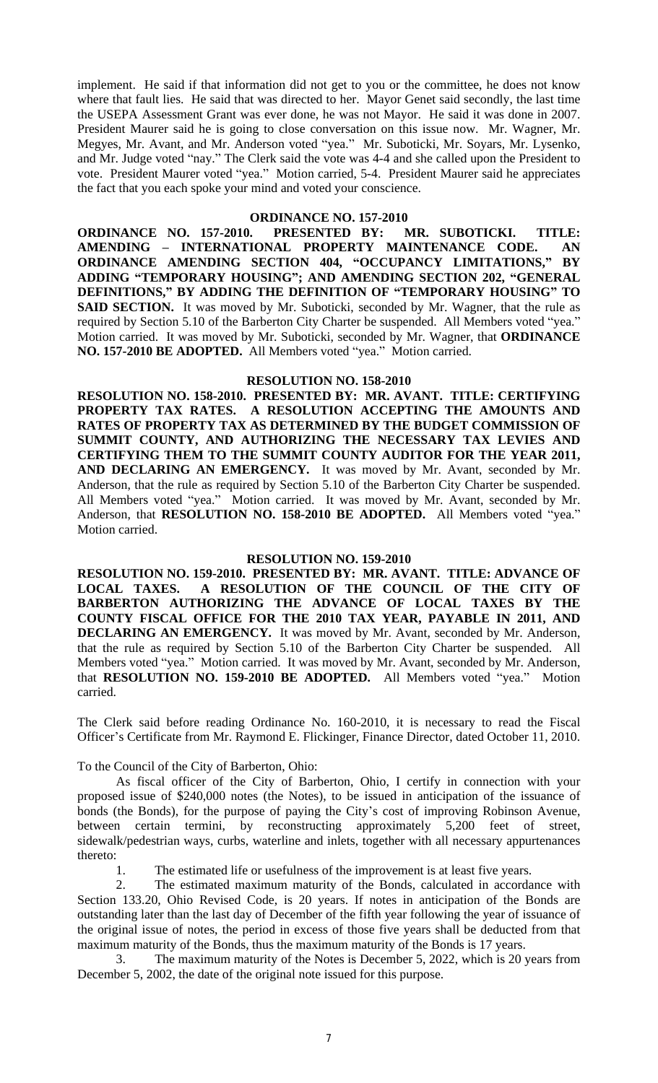implement. He said if that information did not get to you or the committee, he does not know where that fault lies. He said that was directed to her. Mayor Genet said secondly, the last time the USEPA Assessment Grant was ever done, he was not Mayor. He said it was done in 2007. President Maurer said he is going to close conversation on this issue now. Mr. Wagner, Mr. Megyes, Mr. Avant, and Mr. Anderson voted "yea." Mr. Suboticki, Mr. Soyars, Mr. Lysenko, and Mr. Judge voted "nay." The Clerk said the vote was 4-4 and she called upon the President to vote. President Maurer voted "yea." Motion carried, 5-4. President Maurer said he appreciates the fact that you each spoke your mind and voted your conscience.

# **ORDINANCE NO. 157-2010**<br>**D. PRESENTED BY:** M

**ORDINANCE NO. 157-2010. PRESENTED BY: MR. SUBOTICKI. TITLE: AMENDING – INTERNATIONAL PROPERTY MAINTENANCE CODE. AN ORDINANCE AMENDING SECTION 404, "OCCUPANCY LIMITATIONS," BY ADDING "TEMPORARY HOUSING"; AND AMENDING SECTION 202, "GENERAL DEFINITIONS," BY ADDING THE DEFINITION OF "TEMPORARY HOUSING" TO SAID SECTION.** It was moved by Mr. Suboticki, seconded by Mr. Wagner, that the rule as required by Section 5.10 of the Barberton City Charter be suspended. All Members voted "yea." Motion carried. It was moved by Mr. Suboticki, seconded by Mr. Wagner, that **ORDINANCE NO. 157-2010 BE ADOPTED.** All Members voted "yea." Motion carried.

### **RESOLUTION NO. 158-2010**

**RESOLUTION NO. 158-2010. PRESENTED BY: MR. AVANT. TITLE: CERTIFYING PROPERTY TAX RATES. A RESOLUTION ACCEPTING THE AMOUNTS AND RATES OF PROPERTY TAX AS DETERMINED BY THE BUDGET COMMISSION OF SUMMIT COUNTY, AND AUTHORIZING THE NECESSARY TAX LEVIES AND CERTIFYING THEM TO THE SUMMIT COUNTY AUDITOR FOR THE YEAR 2011, AND DECLARING AN EMERGENCY.** It was moved by Mr. Avant, seconded by Mr. Anderson, that the rule as required by Section 5.10 of the Barberton City Charter be suspended. All Members voted "yea." Motion carried. It was moved by Mr. Avant, seconded by Mr. Anderson, that **RESOLUTION NO. 158-2010 BE ADOPTED.** All Members voted "yea." Motion carried.

## **RESOLUTION NO. 159-2010**

**RESOLUTION NO. 159-2010. PRESENTED BY: MR. AVANT. TITLE: ADVANCE OF LOCAL TAXES. A RESOLUTION OF THE COUNCIL OF THE CITY OF BARBERTON AUTHORIZING THE ADVANCE OF LOCAL TAXES BY THE COUNTY FISCAL OFFICE FOR THE 2010 TAX YEAR, PAYABLE IN 2011, AND DECLARING AN EMERGENCY.** It was moved by Mr. Avant, seconded by Mr. Anderson, that the rule as required by Section 5.10 of the Barberton City Charter be suspended. All Members voted "yea." Motion carried. It was moved by Mr. Avant, seconded by Mr. Anderson, that **RESOLUTION NO. 159-2010 BE ADOPTED.** All Members voted "yea." Motion carried.

The Clerk said before reading Ordinance No. 160-2010, it is necessary to read the Fiscal Officer's Certificate from Mr. Raymond E. Flickinger, Finance Director, dated October 11, 2010.

To the Council of the City of Barberton, Ohio:

As fiscal officer of the City of Barberton, Ohio, I certify in connection with your proposed issue of \$240,000 notes (the Notes), to be issued in anticipation of the issuance of bonds (the Bonds), for the purpose of paying the City's cost of improving Robinson Avenue, between certain termini, by reconstructing approximately 5,200 feet of street, sidewalk/pedestrian ways, curbs, waterline and inlets, together with all necessary appurtenances thereto:

1. The estimated life or usefulness of the improvement is at least five years.

2. The estimated maximum maturity of the Bonds, calculated in accordance with Section 133.20, Ohio Revised Code, is 20 years. If notes in anticipation of the Bonds are outstanding later than the last day of December of the fifth year following the year of issuance of the original issue of notes, the period in excess of those five years shall be deducted from that maximum maturity of the Bonds, thus the maximum maturity of the Bonds is 17 years.

3. The maximum maturity of the Notes is December 5, 2022, which is 20 years from December 5, 2002, the date of the original note issued for this purpose.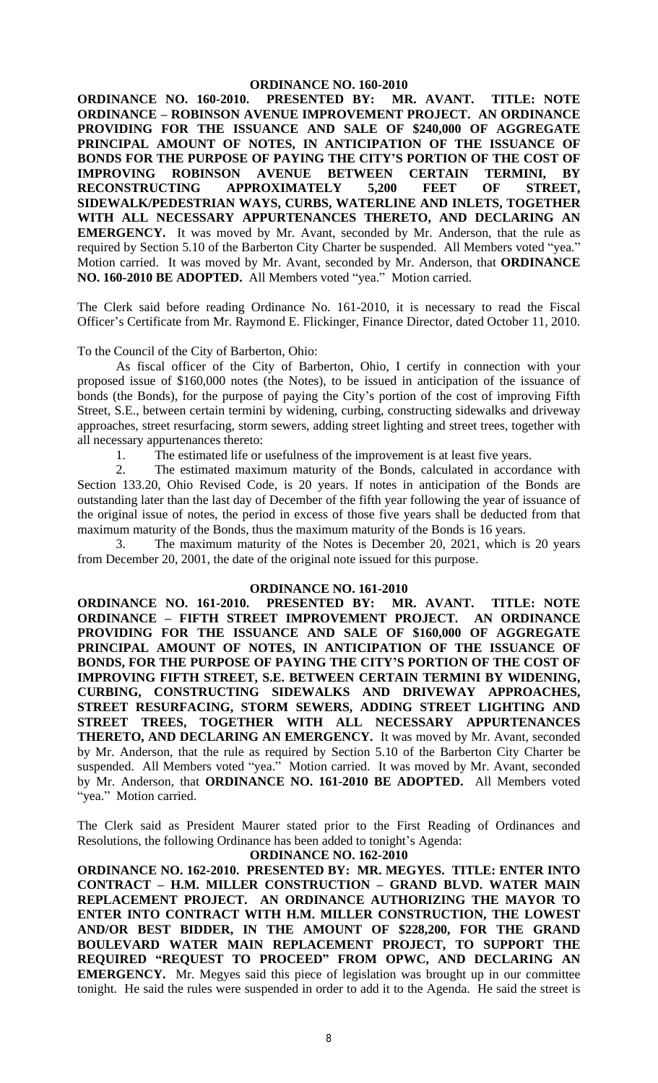**ORDINANCE NO. 160-2010. PRESENTED BY: MR. AVANT. TITLE: NOTE ORDINANCE – ROBINSON AVENUE IMPROVEMENT PROJECT. AN ORDINANCE PROVIDING FOR THE ISSUANCE AND SALE OF \$240,000 OF AGGREGATE PRINCIPAL AMOUNT OF NOTES, IN ANTICIPATION OF THE ISSUANCE OF BONDS FOR THE PURPOSE OF PAYING THE CITY'S PORTION OF THE COST OF IMPROVING ROBINSON AVENUE BETWEEN CERTAIN TERMINI, BY RECONSTRUCTING APPROXIMATELY 5,200 FEET OF STREET, SIDEWALK/PEDESTRIAN WAYS, CURBS, WATERLINE AND INLETS, TOGETHER WITH ALL NECESSARY APPURTENANCES THERETO, AND DECLARING AN EMERGENCY.** It was moved by Mr. Avant, seconded by Mr. Anderson, that the rule as required by Section 5.10 of the Barberton City Charter be suspended. All Members voted "yea." Motion carried. It was moved by Mr. Avant, seconded by Mr. Anderson, that **ORDINANCE NO. 160-2010 BE ADOPTED.** All Members voted "yea." Motion carried.

The Clerk said before reading Ordinance No. 161-2010, it is necessary to read the Fiscal Officer's Certificate from Mr. Raymond E. Flickinger, Finance Director, dated October 11, 2010.

To the Council of the City of Barberton, Ohio:

As fiscal officer of the City of Barberton, Ohio, I certify in connection with your proposed issue of \$160,000 notes (the Notes), to be issued in anticipation of the issuance of bonds (the Bonds), for the purpose of paying the City's portion of the cost of improving Fifth Street, S.E., between certain termini by widening, curbing, constructing sidewalks and driveway approaches, street resurfacing, storm sewers, adding street lighting and street trees, together with all necessary appurtenances thereto:

1. The estimated life or usefulness of the improvement is at least five years.

2. The estimated maximum maturity of the Bonds, calculated in accordance with Section 133.20, Ohio Revised Code, is 20 years. If notes in anticipation of the Bonds are outstanding later than the last day of December of the fifth year following the year of issuance of the original issue of notes, the period in excess of those five years shall be deducted from that maximum maturity of the Bonds, thus the maximum maturity of the Bonds is 16 years.

3. The maximum maturity of the Notes is December 20, 2021, which is 20 years from December 20, 2001, the date of the original note issued for this purpose.

### **ORDINANCE NO. 161-2010**

**ORDINANCE NO. 161-2010. PRESENTED BY: MR. AVANT. TITLE: NOTE ORDINANCE – FIFTH STREET IMPROVEMENT PROJECT. AN ORDINANCE PROVIDING FOR THE ISSUANCE AND SALE OF \$160,000 OF AGGREGATE PRINCIPAL AMOUNT OF NOTES, IN ANTICIPATION OF THE ISSUANCE OF BONDS, FOR THE PURPOSE OF PAYING THE CITY'S PORTION OF THE COST OF IMPROVING FIFTH STREET, S.E. BETWEEN CERTAIN TERMINI BY WIDENING, CURBING, CONSTRUCTING SIDEWALKS AND DRIVEWAY APPROACHES, STREET RESURFACING, STORM SEWERS, ADDING STREET LIGHTING AND STREET TREES, TOGETHER WITH ALL NECESSARY APPURTENANCES THERETO, AND DECLARING AN EMERGENCY.** It was moved by Mr. Avant, seconded by Mr. Anderson, that the rule as required by Section 5.10 of the Barberton City Charter be suspended. All Members voted "yea." Motion carried. It was moved by Mr. Avant, seconded by Mr. Anderson, that **ORDINANCE NO. 161-2010 BE ADOPTED.** All Members voted "yea." Motion carried.

The Clerk said as President Maurer stated prior to the First Reading of Ordinances and Resolutions, the following Ordinance has been added to tonight's Agenda:

### **ORDINANCE NO. 162-2010**

**ORDINANCE NO. 162-2010. PRESENTED BY: MR. MEGYES. TITLE: ENTER INTO CONTRACT – H.M. MILLER CONSTRUCTION – GRAND BLVD. WATER MAIN REPLACEMENT PROJECT. AN ORDINANCE AUTHORIZING THE MAYOR TO ENTER INTO CONTRACT WITH H.M. MILLER CONSTRUCTION, THE LOWEST AND/OR BEST BIDDER, IN THE AMOUNT OF \$228,200, FOR THE GRAND BOULEVARD WATER MAIN REPLACEMENT PROJECT, TO SUPPORT THE REQUIRED "REQUEST TO PROCEED" FROM OPWC, AND DECLARING AN EMERGENCY.** Mr. Megyes said this piece of legislation was brought up in our committee tonight. He said the rules were suspended in order to add it to the Agenda. He said the street is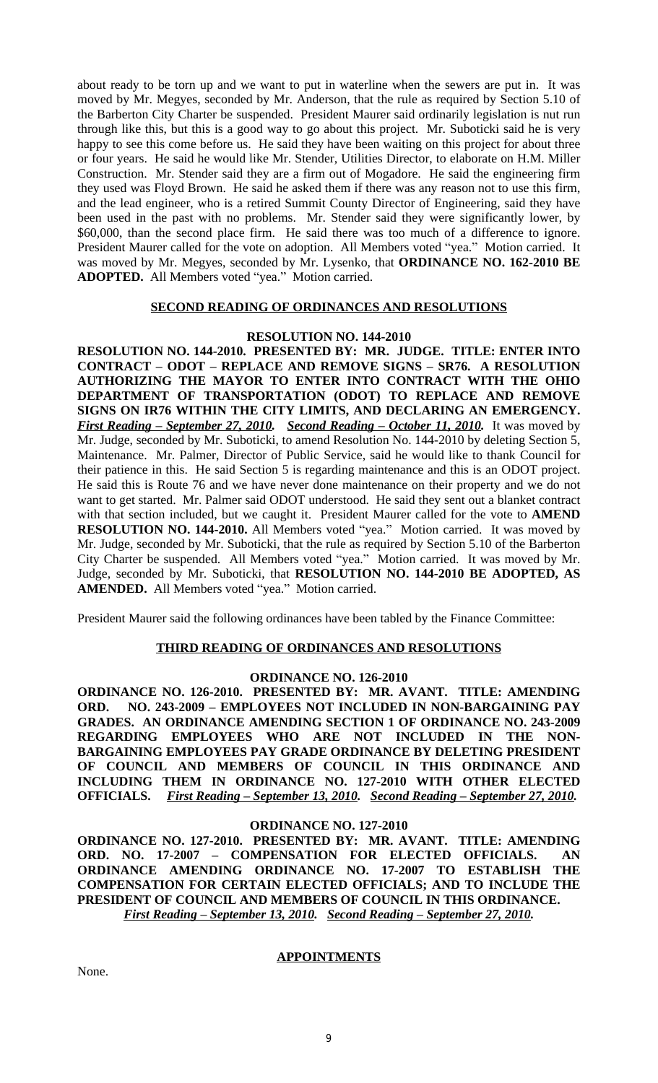about ready to be torn up and we want to put in waterline when the sewers are put in. It was moved by Mr. Megyes, seconded by Mr. Anderson, that the rule as required by Section 5.10 of the Barberton City Charter be suspended. President Maurer said ordinarily legislation is nut run through like this, but this is a good way to go about this project. Mr. Suboticki said he is very happy to see this come before us. He said they have been waiting on this project for about three or four years. He said he would like Mr. Stender, Utilities Director, to elaborate on H.M. Miller Construction. Mr. Stender said they are a firm out of Mogadore. He said the engineering firm they used was Floyd Brown. He said he asked them if there was any reason not to use this firm, and the lead engineer, who is a retired Summit County Director of Engineering, said they have been used in the past with no problems. Mr. Stender said they were significantly lower, by \$60,000, than the second place firm. He said there was too much of a difference to ignore. President Maurer called for the vote on adoption. All Members voted "yea." Motion carried. It was moved by Mr. Megyes, seconded by Mr. Lysenko, that **ORDINANCE NO. 162-2010 BE ADOPTED.** All Members voted "yea." Motion carried.

### **SECOND READING OF ORDINANCES AND RESOLUTIONS**

### **RESOLUTION NO. 144-2010**

**RESOLUTION NO. 144-2010. PRESENTED BY: MR. JUDGE. TITLE: ENTER INTO CONTRACT – ODOT – REPLACE AND REMOVE SIGNS – SR76. A RESOLUTION AUTHORIZING THE MAYOR TO ENTER INTO CONTRACT WITH THE OHIO DEPARTMENT OF TRANSPORTATION (ODOT) TO REPLACE AND REMOVE SIGNS ON IR76 WITHIN THE CITY LIMITS, AND DECLARING AN EMERGENCY.** *First Reading – September 27, 2010. Second Reading – October 11, 2010.* It was moved by Mr. Judge, seconded by Mr. Suboticki, to amend Resolution No. 144-2010 by deleting Section 5, Maintenance. Mr. Palmer, Director of Public Service, said he would like to thank Council for their patience in this. He said Section 5 is regarding maintenance and this is an ODOT project. He said this is Route 76 and we have never done maintenance on their property and we do not want to get started. Mr. Palmer said ODOT understood. He said they sent out a blanket contract with that section included, but we caught it. President Maurer called for the vote to **AMEND RESOLUTION NO. 144-2010.** All Members voted "yea." Motion carried. It was moved by Mr. Judge, seconded by Mr. Suboticki, that the rule as required by Section 5.10 of the Barberton City Charter be suspended. All Members voted "yea." Motion carried. It was moved by Mr. Judge, seconded by Mr. Suboticki, that **RESOLUTION NO. 144-2010 BE ADOPTED, AS AMENDED.** All Members voted "yea." Motion carried.

President Maurer said the following ordinances have been tabled by the Finance Committee:

### **THIRD READING OF ORDINANCES AND RESOLUTIONS**

### **ORDINANCE NO. 126-2010**

**ORDINANCE NO. 126-2010. PRESENTED BY: MR. AVANT. TITLE: AMENDING ORD. NO. 243-2009 – EMPLOYEES NOT INCLUDED IN NON-BARGAINING PAY GRADES. AN ORDINANCE AMENDING SECTION 1 OF ORDINANCE NO. 243-2009 REGARDING EMPLOYEES WHO ARE NOT INCLUDED IN THE NON-BARGAINING EMPLOYEES PAY GRADE ORDINANCE BY DELETING PRESIDENT OF COUNCIL AND MEMBERS OF COUNCIL IN THIS ORDINANCE AND INCLUDING THEM IN ORDINANCE NO. 127-2010 WITH OTHER ELECTED OFFICIALS.** *First Reading – September 13, 2010. Second Reading – September 27, 2010.*

### **ORDINANCE NO. 127-2010**

**ORDINANCE NO. 127-2010. PRESENTED BY: MR. AVANT. TITLE: AMENDING ORD. NO. 17-2007 – COMPENSATION FOR ELECTED OFFICIALS. AN ORDINANCE AMENDING ORDINANCE NO. 17-2007 TO ESTABLISH THE COMPENSATION FOR CERTAIN ELECTED OFFICIALS; AND TO INCLUDE THE PRESIDENT OF COUNCIL AND MEMBERS OF COUNCIL IN THIS ORDINANCE.** *First Reading – September 13, 2010. Second Reading – September 27, 2010.*

**APPOINTMENTS**

None.